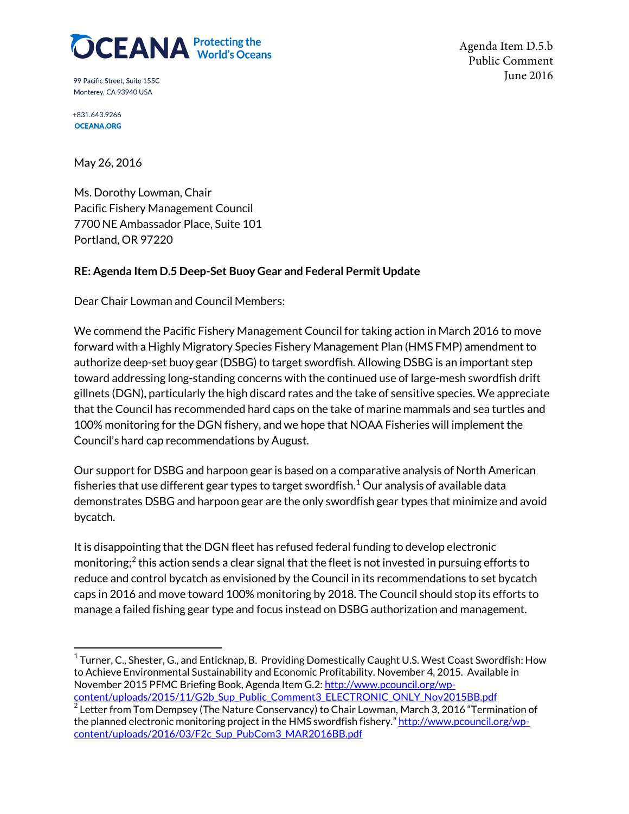

Agenda Item D.5.b Public Comment June 2016

99 Pacific Street, Suite 155C Monterey, CA 93940 USA

+831.643.9266 **OCEANA.ORG** 

May 26, 2016

Ms. Dorothy Lowman, Chair Pacific Fishery Management Council 7700 NE Ambassador Place, Suite 101 Portland, OR 97220

## **RE: Agenda Item D.5 Deep-Set Buoy Gear and Federal Permit Update**

Dear Chair Lowman and Council Members:

We commend the Pacific Fishery Management Council for taking action in March 2016 to move forward with a Highly Migratory Species Fishery Management Plan (HMS FMP) amendment to authorize deep-set buoy gear (DSBG) to target swordfish. Allowing DSBG is an important step toward addressing long-standing concerns with the continued use of large-mesh swordfish drift gillnets (DGN), particularly the high discard rates and the take of sensitive species. We appreciate that the Council has recommended hard caps on the take of marine mammals and sea turtles and 100% monitoring for the DGN fishery, and we hope that NOAA Fisheries will implement the Council's hard cap recommendations by August.

Our support for DSBG and harpoon gear is based on a comparative analysis of North American fisheries that use different gear types to target swordfish. $1$  Our analysis of available data demonstrates DSBG and harpoon gear are the only swordfish gear types that minimize and avoid bycatch.

It is disappointing that the DGN fleet has refused federal funding to develop electronic monitoring; $^2$  $^2$  this action sends a clear signal that the fleet is not invested in pursuing efforts to reduce and control bycatch as envisioned by the Council in its recommendations to set bycatch caps in 2016 and move toward 100% monitoring by 2018. The Council should stop its efforts to manage a failed fishing gear type and focus instead on DSBG authorization and management.

<span id="page-0-0"></span> $1$ Turner, C., Shester, G., and Enticknap, B. Providing Domestically Caught U.S. West Coast Swordfish: How to Achieve Environmental Sustainability and Economic Profitability. November 4, 2015. Available in November 2015 PFMC Briefing Book, Agenda Item G.2[: http://www.pcouncil.org/wp-](http://www.pcouncil.org/wp-content/uploads/2015/11/G2b_Sup_Public_Comment3_ELECTRONIC_ONLY_Nov2015BB.pdf)

<span id="page-0-1"></span>content/uploads/2015/11/G2b\_Sup\_Public\_Comment3\_ELECTRONIC\_ONLY\_Nov2015BB.pdf<br><sup>2</sup> Letter from Tom Dempsey (The Nature Conservancy) to Chair Lowman, March 3, 2016 "Termination of the planned electronic monitoring project in the HMS swordfish fishery.[" http://www.pcouncil.org/wp](http://www.pcouncil.org/wp-content/uploads/2016/03/F2c_Sup_PubCom3_MAR2016BB.pdf)content/uploads/2016/03/F2c\_Sup\_PubCom3\_MAR2016BB.pdf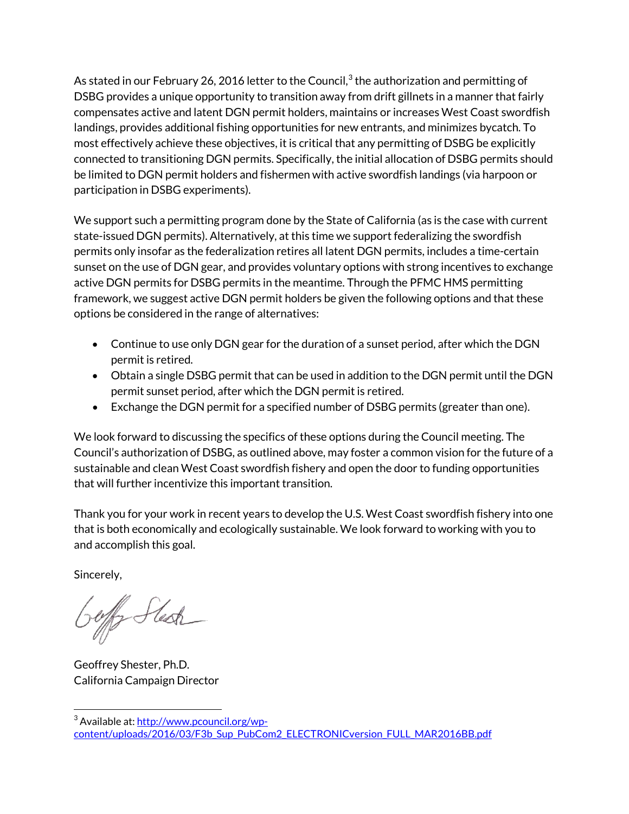As stated in our February 26, 2016 letter to the Council, $3$  the authorization and permitting of DSBG provides a unique opportunity to transition away from drift gillnets in a manner that fairly compensates active and latent DGN permit holders, maintains or increases West Coast swordfish landings, provides additional fishing opportunities for new entrants, and minimizes bycatch. To most effectively achieve these objectives, it is critical that any permitting of DSBG be explicitly connected to transitioning DGN permits. Specifically, the initial allocation of DSBG permits should be limited to DGN permit holders and fishermen with active swordfish landings (via harpoon or participation in DSBG experiments).

We support such a permitting program done by the State of California (as is the case with current state-issued DGN permits). Alternatively, at this time we support federalizing the swordfish permits only insofar as the federalization retires all latent DGN permits, includes a time-certain sunset on the use of DGN gear, and provides voluntary options with strong incentives to exchange active DGN permits for DSBG permits in the meantime. Through the PFMC HMS permitting framework, we suggest active DGN permit holders be given the following options and that these options be considered in the range of alternatives:

- Continue to use only DGN gear for the duration of a sunset period, after which the DGN permit is retired.
- Obtain a single DSBG permit that can be used in addition to the DGN permit until the DGN permit sunset period, after which the DGN permit is retired.
- Exchange the DGN permit for a specified number of DSBG permits (greater than one).

We look forward to discussing the specifics of these options during the Council meeting. The Council's authorization of DSBG, as outlined above, may foster a common vision for the future of a sustainable and clean West Coast swordfish fishery and open the door to funding opportunities that will further incentivize this important transition.

Thank you for your work in recent years to develop the U.S. West Coast swordfish fishery into one that is both economically and ecologically sustainable. We look forward to working with you to and accomplish this goal.

Sincerely,

 $\overline{\phantom{a}}$ 

Jeffer Stesh

Geoffrey Shester, Ph.D. California Campaign Director

<span id="page-1-0"></span><sup>&</sup>lt;sup>3</sup> Available at[: http://www.pcouncil.org/wp](http://www.pcouncil.org/wp-content/uploads/2016/03/F3b_Sup_PubCom2_ELECTRONICversion_FULL_MAR2016BB.pdf)[content/uploads/2016/03/F3b\\_Sup\\_PubCom2\\_ELECTRONICversion\\_FULL\\_MAR2016BB.pdf](http://www.pcouncil.org/wp-content/uploads/2016/03/F3b_Sup_PubCom2_ELECTRONICversion_FULL_MAR2016BB.pdf)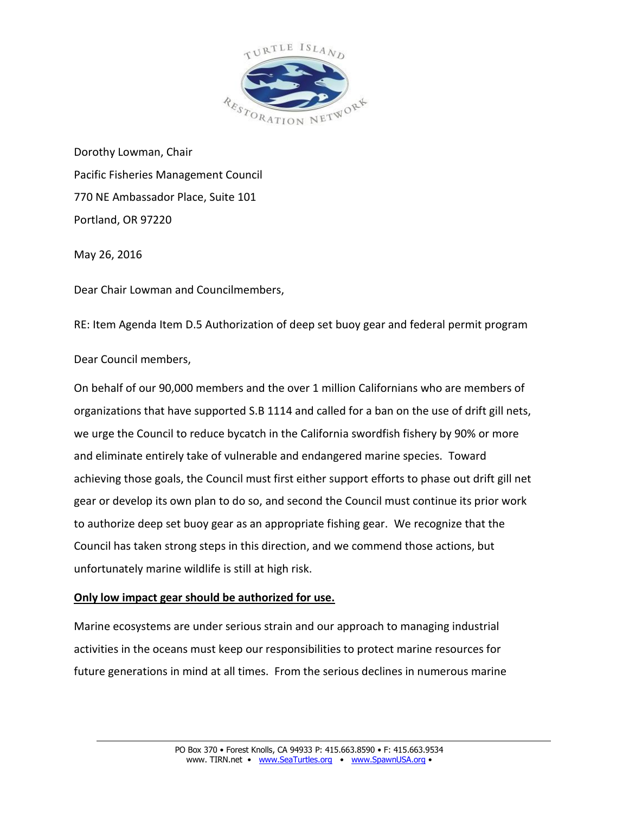

Dorothy Lowman, Chair Pacific Fisheries Management Council 770 NE Ambassador Place, Suite 101 Portland, OR 97220

May 26, 2016

Dear Chair Lowman and Councilmembers,

RE: Item Agenda Item D.5 Authorization of deep set buoy gear and federal permit program

Dear Council members,

On behalf of our 90,000 members and the over 1 million Californians who are members of organizations that have supported S.B 1114 and called for a ban on the use of drift gill nets, we urge the Council to reduce bycatch in the California swordfish fishery by 90% or more and eliminate entirely take of vulnerable and endangered marine species. Toward achieving those goals, the Council must first either support efforts to phase out drift gill net gear or develop its own plan to do so, and second the Council must continue its prior work to authorize deep set buoy gear as an appropriate fishing gear. We recognize that the Council has taken strong steps in this direction, and we commend those actions, but unfortunately marine wildlife is still at high risk.

## **Only low impact gear should be authorized for use.**

Marine ecosystems are under serious strain and our approach to managing industrial activities in the oceans must keep our responsibilities to protect marine resources for future generations in mind at all times. From the serious declines in numerous marine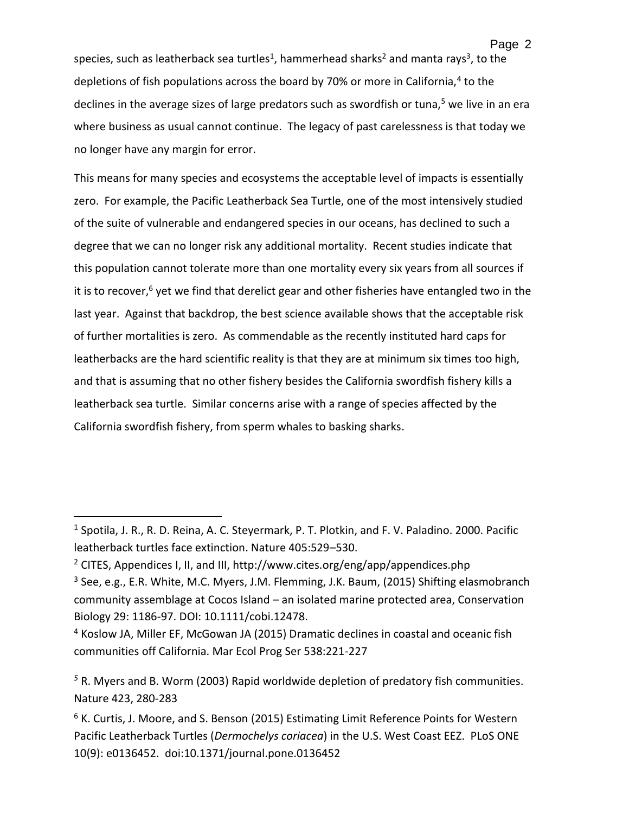species, such as leatherback sea turtles<sup>1</sup>, hammerhead sharks<sup>2</sup> and manta rays<sup>3</sup>, to the depletions of fish populations across the board by 70% or more in California,<sup>4</sup> to the declines in the average sizes of large predators such as swordfish or tuna,<sup>5</sup> we live in an era where business as usual cannot continue. The legacy of past carelessness is that today we no longer have any margin for error.

This means for many species and ecosystems the acceptable level of impacts is essentially zero. For example, the Pacific Leatherback Sea Turtle, one of the most intensively studied of the suite of vulnerable and endangered species in our oceans, has declined to such a degree that we can no longer risk any additional mortality. Recent studies indicate that this population cannot tolerate more than one mortality every six years from all sources if it is to recover, $6$  yet we find that derelict gear and other fisheries have entangled two in the last year. Against that backdrop, the best science available shows that the acceptable risk of further mortalities is zero. As commendable as the recently instituted hard caps for leatherbacks are the hard scientific reality is that they are at minimum six times too high, and that is assuming that no other fishery besides the California swordfish fishery kills a leatherback sea turtle. Similar concerns arise with a range of species affected by the California swordfish fishery, from sperm whales to basking sharks.

 $\overline{a}$ 

<sup>&</sup>lt;sup>1</sup> Spotila, J. R., R. D. Reina, A. C. Steyermark, P. T. Plotkin, and F. V. Paladino. 2000. Pacific leatherback turtles face extinction. Nature 405:529–530.

<sup>&</sup>lt;sup>2</sup> CITES, Appendices I, II, and III, http://www.cites.org/eng/app/appendices.php

<sup>&</sup>lt;sup>3</sup> See, e.g., E.R. White, M.C. Myers, J.M. Flemming, J.K. Baum, (2015) Shifting elasmobranch community assemblage at Cocos Island – an isolated marine protected area, Conservation Biology 29: 1186-97. DOI: 10.1111/cobi.12478.

<sup>4</sup> Koslow JA, Miller EF, McGowan JA (2015) Dramatic declines in coastal and oceanic fish communities off California. Mar Ecol Prog Ser 538:221-227

*<sup>5</sup>* R. Myers and B. Worm (2003) Rapid worldwide depletion of predatory fish communities. Nature 423, 280-283

<sup>&</sup>lt;sup>6</sup> K. Curtis, J. Moore, and S. Benson (2015) Estimating Limit Reference Points for Western Pacific Leatherback Turtles (*Dermochelys coriacea*) in the U.S. West Coast EEZ. PLoS ONE 10(9): e0136452. doi:10.1371/journal.pone.0136452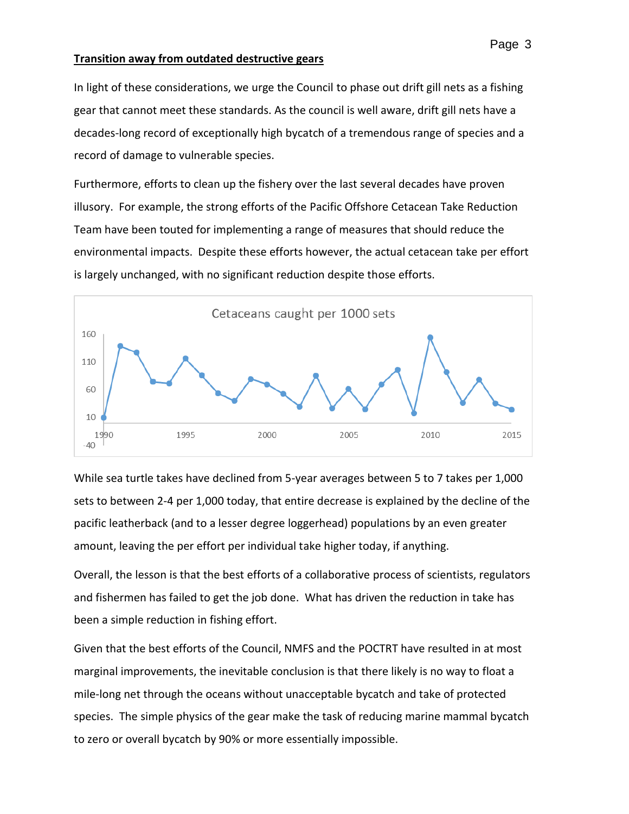### **Transition away from outdated destructive gears**

In light of these considerations, we urge the Council to phase out drift gill nets as a fishing gear that cannot meet these standards. As the council is well aware, drift gill nets have a decades-long record of exceptionally high bycatch of a tremendous range of species and a record of damage to vulnerable species.

Furthermore, efforts to clean up the fishery over the last several decades have proven illusory. For example, the strong efforts of the Pacific Offshore Cetacean Take Reduction Team have been touted for implementing a range of measures that should reduce the environmental impacts. Despite these efforts however, the actual cetacean take per effort is largely unchanged, with no significant reduction despite those efforts.



While sea turtle takes have declined from 5-year averages between 5 to 7 takes per 1,000 sets to between 2-4 per 1,000 today, that entire decrease is explained by the decline of the pacific leatherback (and to a lesser degree loggerhead) populations by an even greater amount, leaving the per effort per individual take higher today, if anything.

Overall, the lesson is that the best efforts of a collaborative process of scientists, regulators and fishermen has failed to get the job done. What has driven the reduction in take has been a simple reduction in fishing effort.

Given that the best efforts of the Council, NMFS and the POCTRT have resulted in at most marginal improvements, the inevitable conclusion is that there likely is no way to float a mile-long net through the oceans without unacceptable bycatch and take of protected species. The simple physics of the gear make the task of reducing marine mammal bycatch to zero or overall bycatch by 90% or more essentially impossible.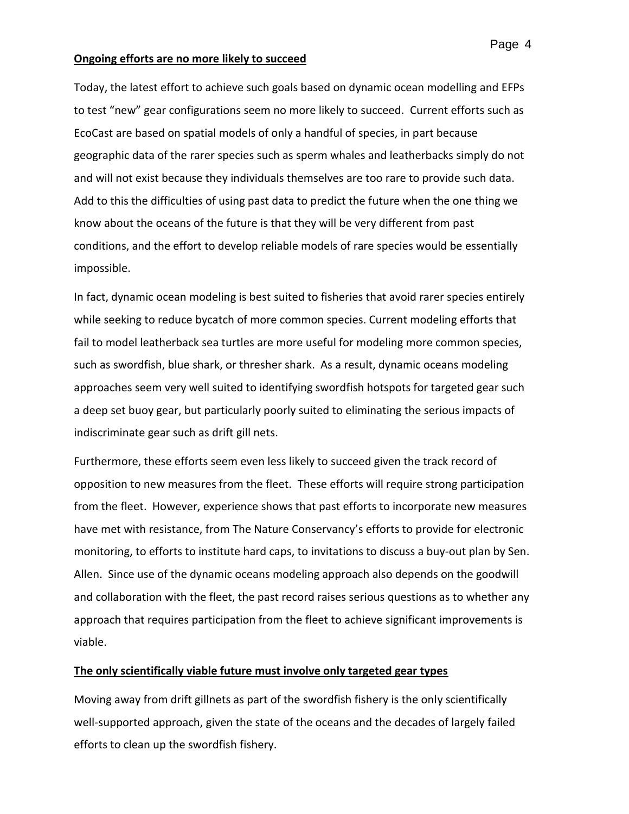#### **Ongoing efforts are no more likely to succeed**

Today, the latest effort to achieve such goals based on dynamic ocean modelling and EFPs to test "new" gear configurations seem no more likely to succeed. Current efforts such as EcoCast are based on spatial models of only a handful of species, in part because geographic data of the rarer species such as sperm whales and leatherbacks simply do not and will not exist because they individuals themselves are too rare to provide such data. Add to this the difficulties of using past data to predict the future when the one thing we know about the oceans of the future is that they will be very different from past conditions, and the effort to develop reliable models of rare species would be essentially impossible.

In fact, dynamic ocean modeling is best suited to fisheries that avoid rarer species entirely while seeking to reduce bycatch of more common species. Current modeling efforts that fail to model leatherback sea turtles are more useful for modeling more common species, such as swordfish, blue shark, or thresher shark. As a result, dynamic oceans modeling approaches seem very well suited to identifying swordfish hotspots for targeted gear such a deep set buoy gear, but particularly poorly suited to eliminating the serious impacts of indiscriminate gear such as drift gill nets.

Furthermore, these efforts seem even less likely to succeed given the track record of opposition to new measures from the fleet. These efforts will require strong participation from the fleet. However, experience shows that past efforts to incorporate new measures have met with resistance, from The Nature Conservancy's efforts to provide for electronic monitoring, to efforts to institute hard caps, to invitations to discuss a buy-out plan by Sen. Allen. Since use of the dynamic oceans modeling approach also depends on the goodwill and collaboration with the fleet, the past record raises serious questions as to whether any approach that requires participation from the fleet to achieve significant improvements is viable.

### **The only scientifically viable future must involve only targeted gear types**

Moving away from drift gillnets as part of the swordfish fishery is the only scientifically well-supported approach, given the state of the oceans and the decades of largely failed efforts to clean up the swordfish fishery.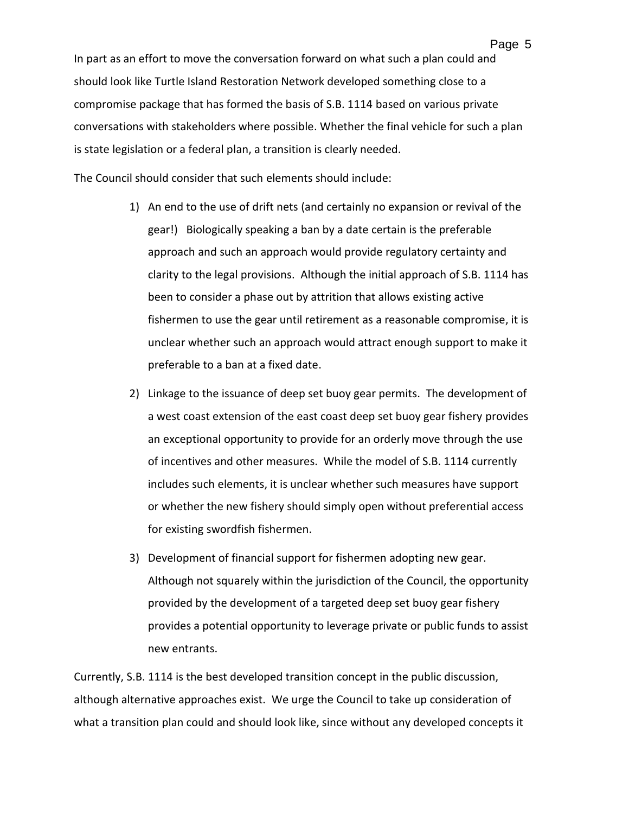In part as an effort to move the conversation forward on what such a plan could and should look like Turtle Island Restoration Network developed something close to a compromise package that has formed the basis of S.B. 1114 based on various private conversations with stakeholders where possible. Whether the final vehicle for such a plan is state legislation or a federal plan, a transition is clearly needed.

The Council should consider that such elements should include:

- 1) An end to the use of drift nets (and certainly no expansion or revival of the gear!) Biologically speaking a ban by a date certain is the preferable approach and such an approach would provide regulatory certainty and clarity to the legal provisions. Although the initial approach of S.B. 1114 has been to consider a phase out by attrition that allows existing active fishermen to use the gear until retirement as a reasonable compromise, it is unclear whether such an approach would attract enough support to make it preferable to a ban at a fixed date.
- 2) Linkage to the issuance of deep set buoy gear permits. The development of a west coast extension of the east coast deep set buoy gear fishery provides an exceptional opportunity to provide for an orderly move through the use of incentives and other measures. While the model of S.B. 1114 currently includes such elements, it is unclear whether such measures have support or whether the new fishery should simply open without preferential access for existing swordfish fishermen.
- 3) Development of financial support for fishermen adopting new gear. Although not squarely within the jurisdiction of the Council, the opportunity provided by the development of a targeted deep set buoy gear fishery provides a potential opportunity to leverage private or public funds to assist new entrants.

Currently, S.B. 1114 is the best developed transition concept in the public discussion, although alternative approaches exist. We urge the Council to take up consideration of what a transition plan could and should look like, since without any developed concepts it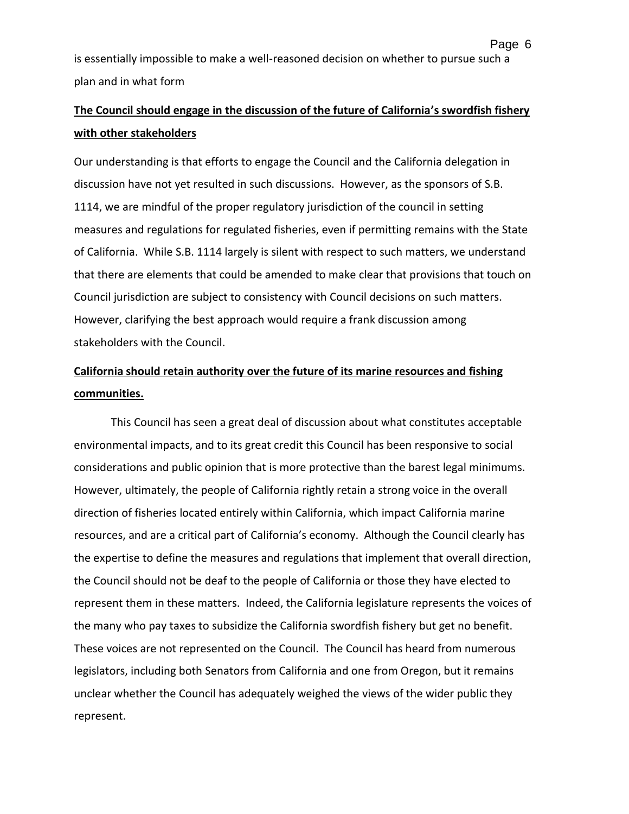Page 6

# **The Council should engage in the discussion of the future of California's swordfish fishery with other stakeholders**

Our understanding is that efforts to engage the Council and the California delegation in discussion have not yet resulted in such discussions. However, as the sponsors of S.B. 1114, we are mindful of the proper regulatory jurisdiction of the council in setting measures and regulations for regulated fisheries, even if permitting remains with the State of California. While S.B. 1114 largely is silent with respect to such matters, we understand that there are elements that could be amended to make clear that provisions that touch on Council jurisdiction are subject to consistency with Council decisions on such matters. However, clarifying the best approach would require a frank discussion among stakeholders with the Council.

# **California should retain authority over the future of its marine resources and fishing communities.**

This Council has seen a great deal of discussion about what constitutes acceptable environmental impacts, and to its great credit this Council has been responsive to social considerations and public opinion that is more protective than the barest legal minimums. However, ultimately, the people of California rightly retain a strong voice in the overall direction of fisheries located entirely within California, which impact California marine resources, and are a critical part of California's economy. Although the Council clearly has the expertise to define the measures and regulations that implement that overall direction, the Council should not be deaf to the people of California or those they have elected to represent them in these matters. Indeed, the California legislature represents the voices of the many who pay taxes to subsidize the California swordfish fishery but get no benefit. These voices are not represented on the Council. The Council has heard from numerous legislators, including both Senators from California and one from Oregon, but it remains unclear whether the Council has adequately weighed the views of the wider public they represent.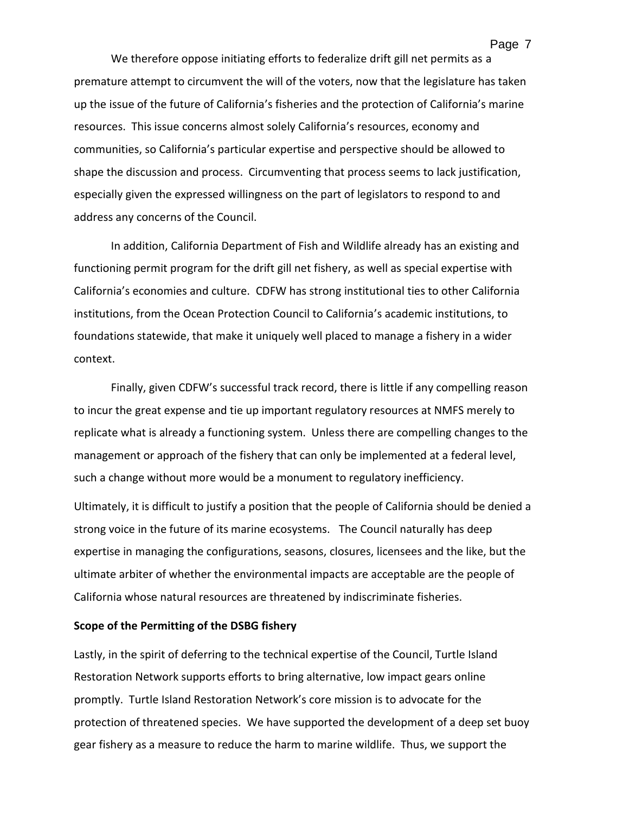We therefore oppose initiating efforts to federalize drift gill net permits as a premature attempt to circumvent the will of the voters, now that the legislature has taken up the issue of the future of California's fisheries and the protection of California's marine resources. This issue concerns almost solely California's resources, economy and communities, so California's particular expertise and perspective should be allowed to shape the discussion and process. Circumventing that process seems to lack justification, especially given the expressed willingness on the part of legislators to respond to and

address any concerns of the Council.

In addition, California Department of Fish and Wildlife already has an existing and functioning permit program for the drift gill net fishery, as well as special expertise with California's economies and culture. CDFW has strong institutional ties to other California institutions, from the Ocean Protection Council to California's academic institutions, to foundations statewide, that make it uniquely well placed to manage a fishery in a wider context.

Finally, given CDFW's successful track record, there is little if any compelling reason to incur the great expense and tie up important regulatory resources at NMFS merely to replicate what is already a functioning system. Unless there are compelling changes to the management or approach of the fishery that can only be implemented at a federal level, such a change without more would be a monument to regulatory inefficiency.

Ultimately, it is difficult to justify a position that the people of California should be denied a strong voice in the future of its marine ecosystems. The Council naturally has deep expertise in managing the configurations, seasons, closures, licensees and the like, but the ultimate arbiter of whether the environmental impacts are acceptable are the people of California whose natural resources are threatened by indiscriminate fisheries.

#### **Scope of the Permitting of the DSBG fishery**

Lastly, in the spirit of deferring to the technical expertise of the Council, Turtle Island Restoration Network supports efforts to bring alternative, low impact gears online promptly. Turtle Island Restoration Network's core mission is to advocate for the protection of threatened species. We have supported the development of a deep set buoy gear fishery as a measure to reduce the harm to marine wildlife. Thus, we support the